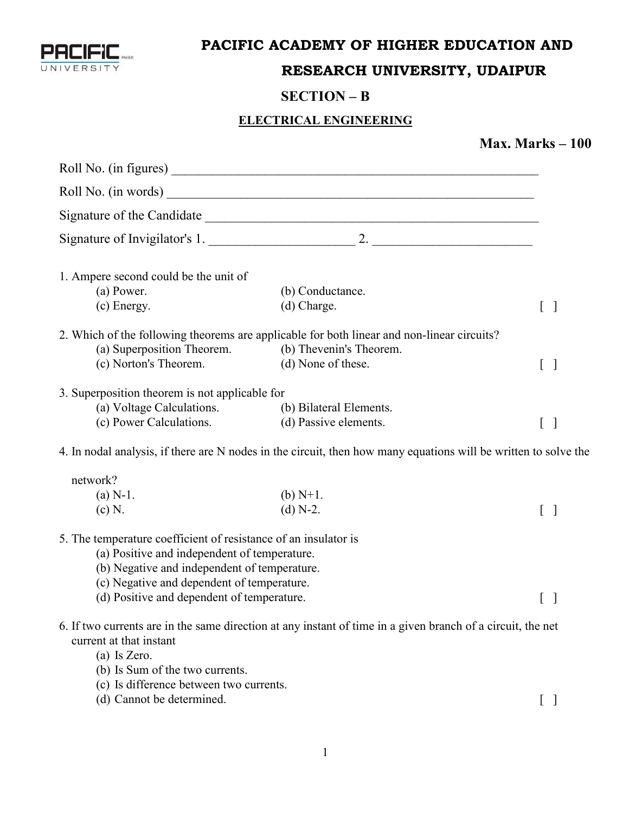

### **PACIFIC ACADEMY OF HIGHER EDUCATION AND**

# **RESEARCH UNIVERSITY, UDAIPUR**

## **SECTION – B**

#### **ELECTRICAL ENGINEERING**

## **Max. Marks – 100**

| 1. Ampere second could be the unit of                           |                                                                                                                 |                                                |
|-----------------------------------------------------------------|-----------------------------------------------------------------------------------------------------------------|------------------------------------------------|
| (a) Power.                                                      | (b) Conductance.                                                                                                |                                                |
| (c) Energy.                                                     | (d) Charge.                                                                                                     | $\begin{bmatrix} 1 & 1 \\ 1 & 1 \end{bmatrix}$ |
|                                                                 | 2. Which of the following theorems are applicable for both linear and non-linear circuits?                      |                                                |
| (a) Superposition Theorem. (b) Thevenin's Theorem.              |                                                                                                                 |                                                |
| (c) Norton's Theorem.                                           | (d) None of these.                                                                                              | $\begin{bmatrix} \end{bmatrix}$                |
| 3. Superposition theorem is not applicable for                  |                                                                                                                 |                                                |
| (a) Voltage Calculations.                                       | (b) Bilateral Elements.                                                                                         |                                                |
| (c) Power Calculations.                                         | (d) Passive elements.                                                                                           | $\begin{bmatrix} \end{bmatrix}$                |
|                                                                 | 4. In nodal analysis, if there are N nodes in the circuit, then how many equations will be written to solve the |                                                |
| network?                                                        |                                                                                                                 |                                                |
| $(a) N-1.$                                                      | (b) $N+1$ .                                                                                                     |                                                |
| (c) N.                                                          | $(d) N-2.$                                                                                                      | $\begin{bmatrix} \end{bmatrix}$                |
| 5. The temperature coefficient of resistance of an insulator is |                                                                                                                 |                                                |
| (a) Positive and independent of temperature.                    |                                                                                                                 |                                                |
| (b) Negative and independent of temperature.                    |                                                                                                                 |                                                |
| (c) Negative and dependent of temperature.                      |                                                                                                                 |                                                |
| (d) Positive and dependent of temperature.                      |                                                                                                                 | $\lfloor$ 1                                    |
| current at that instant                                         | 6. If two currents are in the same direction at any instant of time in a given branch of a circuit, the net     |                                                |
| $(a)$ Is Zero.<br>(b) Is Sum of the two currents.               |                                                                                                                 |                                                |
| (c) Is difference between two currents.                         |                                                                                                                 |                                                |
| (d) Cannot be determined.                                       |                                                                                                                 |                                                |
|                                                                 |                                                                                                                 |                                                |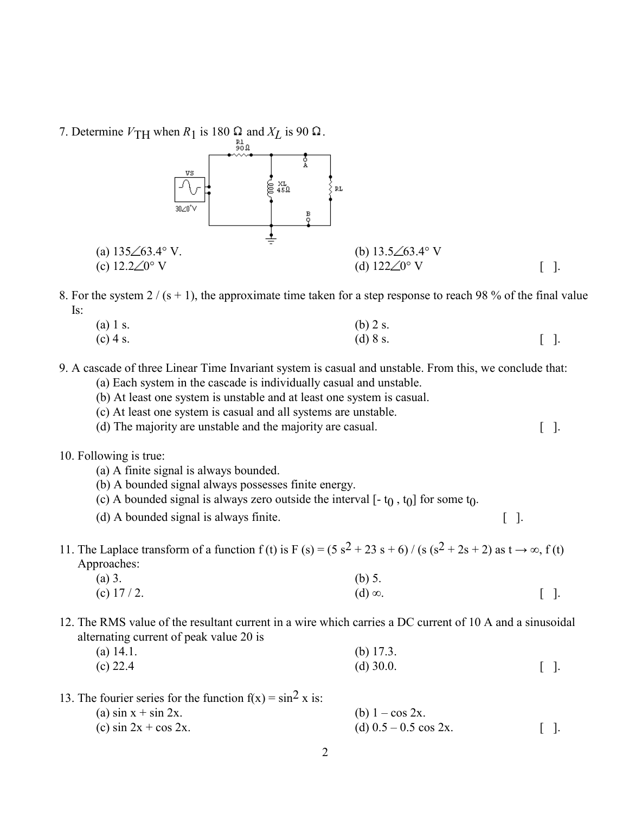7. Determine  $V_{\text{TH}}$  when  $R_1$  is 180  $\Omega$  and  $X_L$  is 90  $\Omega$ .



8. For the system  $2/(s + 1)$ , the approximate time taken for a step response to reach 98 % of the final value Is:

(a) 1 s. (b) 2 s. (c) 4 s.  $[$  [ ].

9. A cascade of three Linear Time Invariant system is casual and unstable. From this, we conclude that:

- (a) Each system in the cascade is individually casual and unstable.
- (b) At least one system is unstable and at least one system is casual.
- (c) At least one system is casual and all systems are unstable.
- (d) The majority are unstable and the majority are casual. [ ].
- 10. Following is true:
	- (a) A finite signal is always bounded.
	- (b) A bounded signal always possesses finite energy.
	- (c) A bounded signal is always zero outside the interval  $[-t_0, t_0]$  for some  $t_0$ .
	- (d) A bounded signal is always finite. [ ].

## 11. The Laplace transform of a function f (t) is F (s) =  $(5 s^2 + 23 s + 6)$  / (s  $(s^2 + 2s + 2)$  as  $t \rightarrow \infty$ , f (t) Approaches:

| (a) 3.       | (b) $5.$       |        |
|--------------|----------------|--------|
| (c) $17/2$ . | $(d) \infty$ . | $[$ ]. |

12. The RMS value of the resultant current in a wire which carries a DC current of 10 A and a sinusoidal alternating current of peak value 20 is

| (a) $14.1$ . | (b) $17.3$ . |                         |
|--------------|--------------|-------------------------|
| $(c)$ 22.4   | (d) $30.0$ . | $\lceil \cdot \rceil$ . |

13. The fourier series for the function  $f(x) = \sin^2 x$  is:

| (a) $\sin x + \sin 2x$ .  | (b) $1 - \cos 2x$ .       |           |
|---------------------------|---------------------------|-----------|
| (c) $\sin 2x + \cos 2x$ . | (d) $0.5 - 0.5 \cos 2x$ . | $[ \ ]$ . |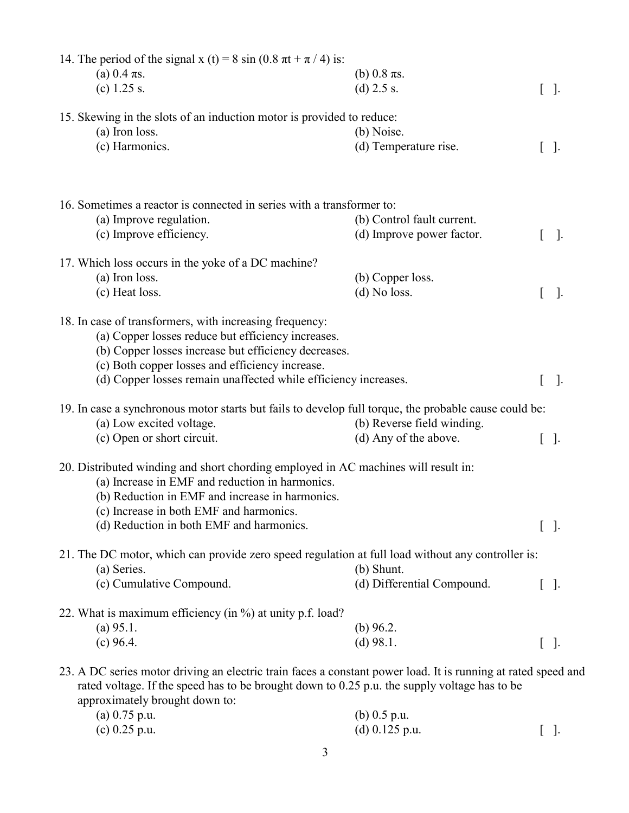| 14. The period of the signal x (t) = 8 sin (0.8 $\pi$ t + $\pi$ / 4) is:                                                                                                                                                                                                                    |                            |   |           |  |
|---------------------------------------------------------------------------------------------------------------------------------------------------------------------------------------------------------------------------------------------------------------------------------------------|----------------------------|---|-----------|--|
| (a) 0.4 $\pi s$ .                                                                                                                                                                                                                                                                           | (b) $0.8 \pi s$ .          |   |           |  |
| (c) $1.25$ s.                                                                                                                                                                                                                                                                               | (d) $2.5$ s.               |   | $[ \ ]$ . |  |
| 15. Skewing in the slots of an induction motor is provided to reduce:                                                                                                                                                                                                                       |                            |   |           |  |
| (a) Iron loss.                                                                                                                                                                                                                                                                              | (b) Noise.                 |   |           |  |
| (c) Harmonics.                                                                                                                                                                                                                                                                              | (d) Temperature rise.      |   | $[ \ ]$ . |  |
|                                                                                                                                                                                                                                                                                             |                            |   |           |  |
| 16. Sometimes a reactor is connected in series with a transformer to:                                                                                                                                                                                                                       |                            |   |           |  |
| (a) Improve regulation.                                                                                                                                                                                                                                                                     | (b) Control fault current. |   |           |  |
| (c) Improve efficiency.                                                                                                                                                                                                                                                                     | (d) Improve power factor.  |   | $\cdot$   |  |
| 17. Which loss occurs in the yoke of a DC machine?                                                                                                                                                                                                                                          |                            |   |           |  |
| (a) Iron loss.                                                                                                                                                                                                                                                                              | (b) Copper loss.           |   |           |  |
| (c) Heat loss.                                                                                                                                                                                                                                                                              | $(d)$ No loss.             |   | $\cdot$   |  |
| 18. In case of transformers, with increasing frequency:<br>(a) Copper losses reduce but efficiency increases.<br>(b) Copper losses increase but efficiency decreases.<br>(c) Both copper losses and efficiency increase.<br>(d) Copper losses remain unaffected while efficiency increases. |                            | L | $\cdot$   |  |
| 19. In case a synchronous motor starts but fails to develop full torque, the probable cause could be:                                                                                                                                                                                       |                            |   |           |  |
| (a) Low excited voltage.                                                                                                                                                                                                                                                                    | (b) Reverse field winding. |   |           |  |
| (c) Open or short circuit.                                                                                                                                                                                                                                                                  | (d) Any of the above.      |   | $[ \ ]$ . |  |
| 20. Distributed winding and short chording employed in AC machines will result in:<br>(a) Increase in EMF and reduction in harmonics.<br>(b) Reduction in EMF and increase in harmonics.<br>(c) Increase in both EMF and harmonics.<br>(d) Reduction in both EMF and harmonics.             |                            |   | $[ \ ]$ . |  |
| 21. The DC motor, which can provide zero speed regulation at full load without any controller is:                                                                                                                                                                                           |                            |   |           |  |
| (a) Series.                                                                                                                                                                                                                                                                                 | (b) Shunt.                 |   |           |  |
| (c) Cumulative Compound.                                                                                                                                                                                                                                                                    | (d) Differential Compound. |   | $[ \ ]$ . |  |
| 22. What is maximum efficiency (in %) at unity p.f. load?                                                                                                                                                                                                                                   |                            |   |           |  |
| $(a)$ 95.1.                                                                                                                                                                                                                                                                                 | (b) $96.2$ .               |   |           |  |
| (c) 96.4.                                                                                                                                                                                                                                                                                   | $(d)$ 98.1.                |   | $[ \ ]$ . |  |
| 23. A DC series motor driving an electric train faces a constant power load. It is running at rated speed and<br>rated voltage. If the speed has to be brought down to 0.25 p.u. the supply voltage has to be<br>approximately brought down to:                                             |                            |   |           |  |
| (a) $0.75$ p.u.                                                                                                                                                                                                                                                                             | (b) $0.5$ p.u.             |   |           |  |

| (a) 0.73 p.u.   | $(0)$ 0.5 p.u.   |            |
|-----------------|------------------|------------|
| (c) $0.25$ p.u. | (d) $0.125$ p.u. | $\lceil$ . |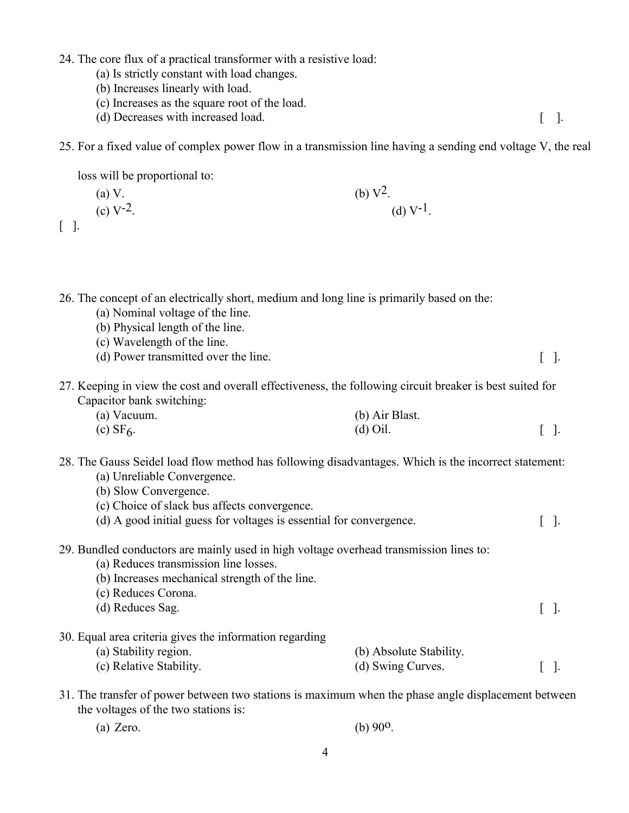24. The core flux of a practical transformer with a resistive load:

- (a) Is strictly constant with load changes.
- (b) Increases linearly with load.

loss will be proportional to:

- (c) Increases as the square root of the load.
- (d) Decreases with increased load. [ ].

25. For a fixed value of complex power flow in a transmission line having a sending end voltage V, the real

|              | (b) $V^2$ .<br>(a) V.                                                                                                                                                                                                                                                               |                                              |              |
|--------------|-------------------------------------------------------------------------------------------------------------------------------------------------------------------------------------------------------------------------------------------------------------------------------------|----------------------------------------------|--------------|
| $[ \quad ].$ | (c) $V^{-2}$ .                                                                                                                                                                                                                                                                      | (d) $V^{-1}$ .                               |              |
|              | 26. The concept of an electrically short, medium and long line is primarily based on the:<br>(a) Nominal voltage of the line.<br>(b) Physical length of the line.<br>(c) Wavelength of the line.<br>(d) Power transmitted over the line.                                            |                                              | $[ \ ]$ .    |
|              | 27. Keeping in view the cost and overall effectiveness, the following circuit breaker is best suited for<br>Capacitor bank switching:<br>(a) Vacuum.<br>$(c)$ SF $6$ .                                                                                                              | (b) Air Blast.<br>$(d)$ Oil.                 | $[\ ]$ .     |
|              | 28. The Gauss Seidel load flow method has following disadvantages. Which is the incorrect statement:<br>(a) Unreliable Convergence.<br>(b) Slow Convergence.<br>(c) Choice of slack bus affects convergence.<br>(d) A good initial guess for voltages is essential for convergence. |                                              | $\Box$<br>L  |
|              | 29. Bundled conductors are mainly used in high voltage overhead transmission lines to:<br>(a) Reduces transmission line losses.<br>(b) Increases mechanical strength of the line.<br>(c) Reduces Corona.<br>(d) Reduces Sag.                                                        |                                              | $[ \ ]$ .    |
|              | 30. Equal area criteria gives the information regarding<br>(a) Stability region.<br>(c) Relative Stability.                                                                                                                                                                         | (b) Absolute Stability.<br>(d) Swing Curves. | $\cdot$<br>L |

31. The transfer of power between two stations is maximum when the phase angle displacement between the voltages of the two stations is:

| $(a)$ Zero. | (b) $90^{\circ}$ . |
|-------------|--------------------|
|             |                    |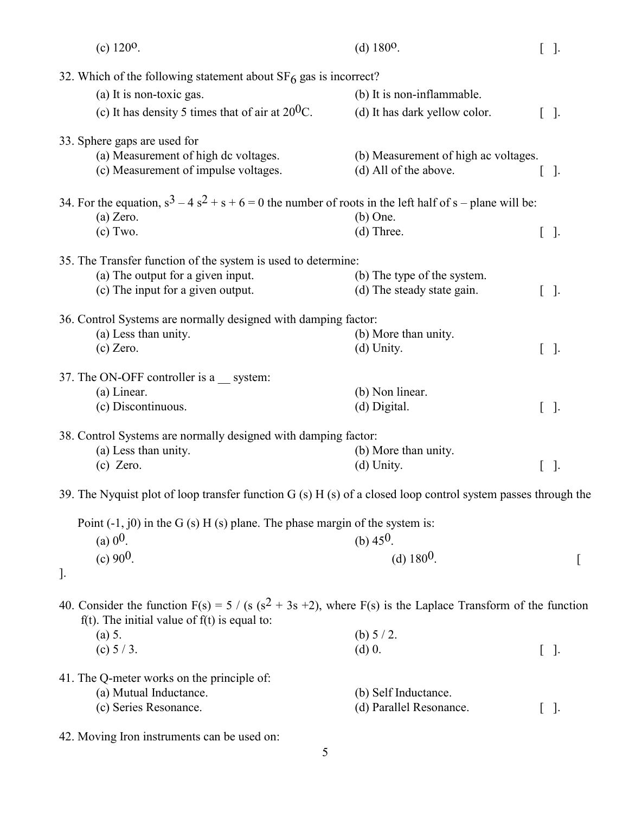| (c) $120^{\circ}$ .                                                                                               | (d) $180^{\circ}$ .                  | $[ \ ]$ . |
|-------------------------------------------------------------------------------------------------------------------|--------------------------------------|-----------|
| 32. Which of the following statement about $SF6$ gas is incorrect?                                                |                                      |           |
| (a) It is non-toxic gas.                                                                                          | (b) It is non-inflammable.           |           |
| (c) It has density 5 times that of air at $20^{0}$ C.                                                             | (d) It has dark yellow color.        | $[ \ ]$ . |
|                                                                                                                   |                                      |           |
| 33. Sphere gaps are used for                                                                                      |                                      |           |
| (a) Measurement of high dc voltages.                                                                              | (b) Measurement of high ac voltages. |           |
| (c) Measurement of impulse voltages.                                                                              | (d) All of the above.                | $[ \ ]$ . |
| 34. For the equation, $s^3 - 4s^2 + s + 6 = 0$ the number of roots in the left half of s – plane will be:         |                                      |           |
| $(a)$ Zero.                                                                                                       | $(b)$ One.                           |           |
| $(c)$ Two.                                                                                                        | (d) Three.                           | $[ \ ]$ . |
|                                                                                                                   |                                      |           |
| 35. The Transfer function of the system is used to determine:                                                     |                                      |           |
| (a) The output for a given input.                                                                                 | (b) The type of the system.          |           |
| (c) The input for a given output.                                                                                 | (d) The steady state gain.           | $[ \ ]$ . |
| 36. Control Systems are normally designed with damping factor:                                                    |                                      |           |
| (a) Less than unity.                                                                                              | (b) More than unity.                 |           |
| $(c)$ Zero.                                                                                                       | (d) Unity.                           | $[ \ ]$ . |
|                                                                                                                   |                                      |           |
| 37. The ON-OFF controller is a __ system:                                                                         |                                      |           |
| (a) Linear.                                                                                                       | (b) Non linear.                      |           |
| (c) Discontinuous.                                                                                                | (d) Digital.                         | $[ \ ]$ . |
| 38. Control Systems are normally designed with damping factor:                                                    |                                      |           |
| (a) Less than unity.                                                                                              | (b) More than unity.                 |           |
| $(c)$ Zero.                                                                                                       | (d) Unity.                           | $[ \ ]$ . |
|                                                                                                                   |                                      |           |
| 39. The Nyquist plot of loop transfer function $G(s)$ H (s) of a closed loop control system passes through the    |                                      |           |
| Point $(-1, 0)$ in the G $(s)$ H $(s)$ plane. The phase margin of the system is:                                  |                                      |           |
| (a) $0^0$ .                                                                                                       | (b) $45^{\circ}$ .                   |           |
| (c) $90^0$ .                                                                                                      | (d) $180^0$ .                        |           |
| $\cdot$                                                                                                           |                                      |           |
|                                                                                                                   |                                      |           |
| 40. Consider the function $F(s) = 5 / (s (s^2 + 3s + 2))$ , where $F(s)$ is the Laplace Transform of the function |                                      |           |
| $f(t)$ . The initial value of $f(t)$ is equal to:                                                                 |                                      |           |
| (a) 5.                                                                                                            | (b) $5/2$ .                          |           |
| (c) $5/3$ .                                                                                                       | $(d)$ 0.                             | $[ \ ]$ . |
| 41. The Q-meter works on the principle of:                                                                        |                                      |           |
| (a) Mutual Inductance.                                                                                            | (b) Self Inductance.                 |           |
| (c) Series Resonance.                                                                                             | (d) Parallel Resonance.              | $[ \ ]$ . |
|                                                                                                                   |                                      |           |

42. Moving Iron instruments can be used on: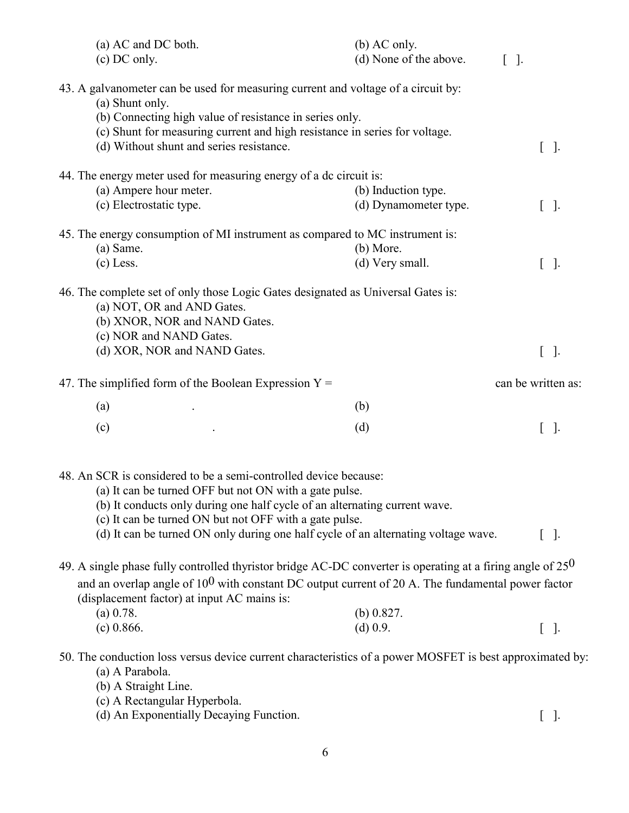| (a) AC and DC both.<br>(c) DC only.                                                                                                             | $(b)$ AC only.<br>(d) None of the above. | $[ \ ]$ .          |
|-------------------------------------------------------------------------------------------------------------------------------------------------|------------------------------------------|--------------------|
| 43. A galvanometer can be used for measuring current and voltage of a circuit by:                                                               |                                          |                    |
| (a) Shunt only.<br>(b) Connecting high value of resistance in series only.                                                                      |                                          |                    |
| (c) Shunt for measuring current and high resistance in series for voltage.                                                                      |                                          |                    |
| (d) Without shunt and series resistance.                                                                                                        |                                          | $[ \ ]$ .          |
| 44. The energy meter used for measuring energy of a dc circuit is:                                                                              |                                          |                    |
| (a) Ampere hour meter.                                                                                                                          | (b) Induction type.                      |                    |
| (c) Electrostatic type.                                                                                                                         | (d) Dynamometer type.                    | $[ \ ]$ .          |
| 45. The energy consumption of MI instrument as compared to MC instrument is:                                                                    |                                          |                    |
| (a) Same.                                                                                                                                       | $(b)$ More.                              |                    |
| $(c)$ Less.                                                                                                                                     | (d) Very small.                          | $[ \ ]$ .          |
| 46. The complete set of only those Logic Gates designated as Universal Gates is:<br>(a) NOT, OR and AND Gates.<br>(b) XNOR, NOR and NAND Gates. |                                          |                    |
| (c) NOR and NAND Gates.                                                                                                                         |                                          |                    |
| (d) XOR, NOR and NAND Gates.                                                                                                                    |                                          | $[ \ ]$ .          |
| 47. The simplified form of the Boolean Expression $Y =$                                                                                         |                                          | can be written as: |
| (a)                                                                                                                                             | (b)                                      |                    |
| (c)                                                                                                                                             | (d)                                      | $[ \ ]$ .          |
| 48. An SCR is considered to be a semi-controlled device because:<br>(a) It can be turned OFF but not ON with a gate pulse.                      |                                          |                    |
| (b) It conducts only during one half cycle of an alternating current wave.                                                                      |                                          |                    |
| (c) It can be turned ON but not OFF with a gate pulse.                                                                                          |                                          |                    |
| (d) It can be turned ON only during one half cycle of an alternating voltage wave.                                                              |                                          | $[ \ ]$ .          |
| 49. A single phase fully controlled thyristor bridge AC-DC converter is operating at a firing angle of $25^0$                                   |                                          |                    |
| and an overlap angle of $10^0$ with constant DC output current of 20 A. The fundamental power factor                                            |                                          |                    |
| (displacement factor) at input AC mains is:                                                                                                     |                                          |                    |
| (a) 0.78.                                                                                                                                       | (b) $0.827$ .                            |                    |
| $(c)$ 0.866.                                                                                                                                    | $(d)$ 0.9.                               | $[ \ ]$ .          |
| 50. The conduction loss versus device current characteristics of a power MOSFET is best approximated by:                                        |                                          |                    |
| (a) A Parabola.                                                                                                                                 |                                          |                    |
| (b) A Straight Line.                                                                                                                            |                                          |                    |
| (c) A Rectangular Hyperbola.                                                                                                                    |                                          |                    |

(d) An Exponentially Decaying Function. [ ].